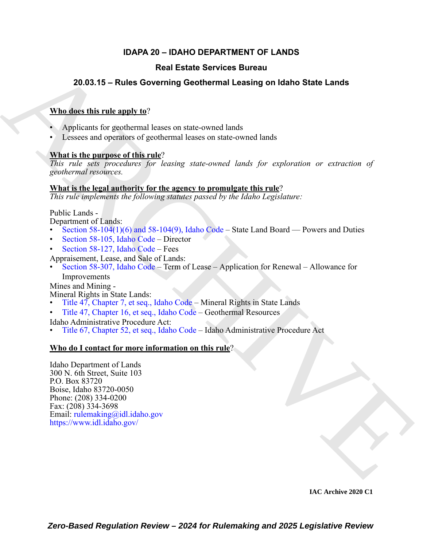# **IDAPA 20 – IDAHO DEPARTMENT OF LANDS**

# **Real Estate Services Bureau**

# **20.03.15 – Rules Governing Geothermal Leasing on Idaho State Lands**

# **Who does this rule apply to**?

- Applicants for geothermal leases on state-owned lands
- Lessees and operators of geothermal leases on state-owned lands

# **What is the purpose of this rule**?

*This rule sets procedures for leasing state-owned lands for exploration or extraction of geothermal resources.*

# **What is the legal authority for the agency to promulgate this rule**?

*This rule implements the following statutes passed by the Idaho Legislature:*

Public Lands -

Department of Lands:

- Section  $58-104(1)(6)$  and  $58-104(9)$ , Idaho Code State Land Board Powers and Duties
- Section 58-105, Idaho Code Director
- Section 58-127, Idaho Code Fees

Appraisement, Lease, and Sale of Lands:

• Section 58-307, Idaho Code – Term of Lease – Application for Renewal – Allowance for Improvements

Mines and Mining -

Mineral Rights in State Lands:

- Title 47, Chapter 7, et seq., Idaho Code Mineral Rights in State Lands
- Title 47, Chapter 16, et seq., Idaho Code Geothermal Resources

Idaho Administrative Procedure Act:

• Title 67, Chapter 52, et seq., Idaho Code – Idaho Administrative Procedure Act

# **Who do I contact for more information on this rule**?

**Real Estate Services Bureau<br>
20.03.15 - Rules Governing Geothermal Leasing on Idaho State Lands<br>
When detect this rule and to<br>
A Applicants for geodernal Leases on state-swand lands<br>
A Leases and excitation of geodernal** Idaho Department of Lands 300 N. 6th Street, Suite 103 P.O. Box 83720 Boise, Idaho 83720-0050 Phone: (208) 334-0200 Fax: (208) 334-3698 Email: rulemaking@idl.idaho.gov https://www.idl.idaho.gov/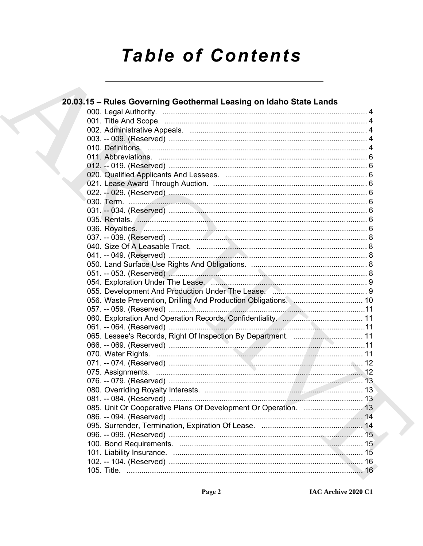# **Table of Contents**

 $\cdot$ 

|  | 20.03.15 – Rules Governing Geothermal Leasing on Idaho State Lands           |  |
|--|------------------------------------------------------------------------------|--|
|  |                                                                              |  |
|  |                                                                              |  |
|  |                                                                              |  |
|  |                                                                              |  |
|  |                                                                              |  |
|  |                                                                              |  |
|  |                                                                              |  |
|  |                                                                              |  |
|  |                                                                              |  |
|  |                                                                              |  |
|  |                                                                              |  |
|  |                                                                              |  |
|  |                                                                              |  |
|  |                                                                              |  |
|  |                                                                              |  |
|  |                                                                              |  |
|  |                                                                              |  |
|  |                                                                              |  |
|  |                                                                              |  |
|  |                                                                              |  |
|  |                                                                              |  |
|  | 056. Waste Prevention, Drilling And Production Obligations. Manuan Museum 10 |  |
|  |                                                                              |  |
|  |                                                                              |  |
|  |                                                                              |  |
|  | 065. Lessee's Records, Right Of Inspection By Department.  11                |  |
|  |                                                                              |  |
|  |                                                                              |  |
|  |                                                                              |  |
|  |                                                                              |  |
|  |                                                                              |  |
|  |                                                                              |  |
|  |                                                                              |  |
|  | 085. Unit Or Cooperative Plans Of Development Or Operation.  13              |  |
|  | 086. -- 094. (Reserved)                                                      |  |
|  |                                                                              |  |
|  |                                                                              |  |
|  |                                                                              |  |
|  |                                                                              |  |
|  |                                                                              |  |
|  |                                                                              |  |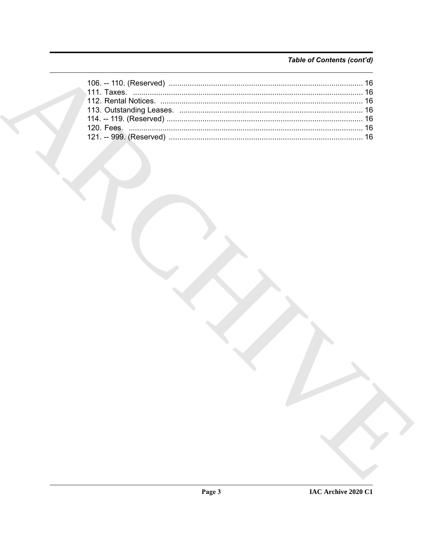# Table of Contents (cont'd)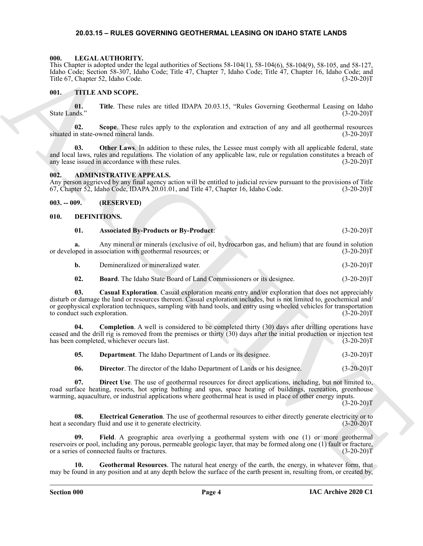#### <span id="page-3-18"></span><span id="page-3-0"></span>**20.03.15 – RULES GOVERNING GEOTHERMAL LEASING ON IDAHO STATE LANDS**

#### <span id="page-3-1"></span>**000. LEGAL AUTHORITY.**

This Chapter is adopted under the legal authorities of Sections 58-104(1), 58-104(6), 58-104(9), 58-105, and 58-127, Idaho Code; Section 58-307, Idaho Code; Title 47, Chapter 7, Idaho Code; Title 47, Chapter 16, Idaho Code; and<br>Title 67, Chapter 52, Idaho Code. (3-20-20) Title 67, Chapter 52, Idaho Code.

#### <span id="page-3-19"></span><span id="page-3-2"></span>**001. TITLE AND SCOPE.**

**01.** Title. These rules are titled IDAPA 20.03.15, "Rules Governing Geothermal Leasing on Idaho ds." (3-20-20) State Lands."

**02. Scope**. These rules apply to the exploration and extraction of any and all geothermal resources situated in state-owned mineral lands. (3-20-20)T

**03. Other Laws**. In addition to these rules, the Lessee must comply with all applicable federal, state and local laws, rules and regulations. The violation of any applicable law, rule or regulation constitutes a breach of any lease issued in accordance with these rules. (3-20-20)T

#### <span id="page-3-6"></span><span id="page-3-3"></span>**002. ADMINISTRATIVE APPEALS.**

Any person aggrieved by any final agency action will be entitled to judicial review pursuant to the provisions of Title 67, Chapter 52, Idaho Code, IDAPA 20.01.01, and Title 47, Chapter 16, Idaho Code. (3-20-20)T 67, Chapter 52, Idaho Code, IDAPA 20.01.01, and Title 47, Chapter 16, Idaho Code.

#### <span id="page-3-4"></span>**003. -- 009. (RESERVED)**

#### <span id="page-3-5"></span>**010. DEFINITIONS.**

<span id="page-3-8"></span><span id="page-3-7"></span>

|  | <b>Associated By-Products or By-Product:</b> | $(3-20-20)T$ |  |  |
|--|----------------------------------------------|--------------|--|--|
|  |                                              |              |  |  |
|  |                                              |              |  |  |

**a.** Any mineral or minerals (exclusive of oil, hydrocarbon gas, and helium) that are found in solution pped in association with geothermal resources; or or developed in association with geothermal resources; or

<span id="page-3-9"></span>**b.** Demineralized or mineralized water. (3-20-20)T

<span id="page-3-10"></span>**02. Board**. The Idaho State Board of Land Commissioners or its designee. (3-20-20)T

This Contract is abute the the basis function of Scheme 3.8 (1910), 38 (1946), 2018 (1946), 2018 (1946), 2018 (1946), 2018 (1946), 2018 (1946), 2018 (1946), 2018 (1946), 2018 (1946), 2018 (1946), 2018 (1946), 2018 (1946), **03. Casual Exploration**. Casual exploration means entry and/or exploration that does not appreciably disturb or damage the land or resources thereon. Casual exploration includes, but is not limited to, geochemical and/ or geophysical exploration techniques, sampling with hand tools, and entry using wheeled vehicles for transportation to conduct such exploration. (3-20-20)T

**04. Completion**. A well is considered to be completed thirty (30) days after drilling operations have ceased and the drill rig is removed from the premises or thirty  $(30)$  days after the initial production or injection test has been completed, whichever occurs last.  $(3-20-20)$ has been completed, whichever occurs last.

<span id="page-3-14"></span><span id="page-3-12"></span><span id="page-3-11"></span>**05. Department**. The Idaho Department of Lands or its designee. (3-20-20)T

<span id="page-3-15"></span><span id="page-3-13"></span>**06. Director**. The director of the Idaho Department of Lands or his designee. (3-20-20)T

**07. Direct Use**. The use of geothermal resources for direct applications, including, but not limited to, road surface heating, resorts, hot spring bathing and spas, space heating of buildings, recreation, greenhouse warming, aquaculture, or industrial applications where geothermal heat is used in place of other energy inputs.

 $(3-20-20)T$ 

**08.** Electrical Generation. The use of geothermal resources to either directly generate electricity or to condary fluid and use it to generate electricity. (3-20-20)T heat a secondary fluid and use it to generate electricity.

<span id="page-3-16"></span>**09. Field**. A geographic area overlying a geothermal system with one (1) or more geothermal reservoirs or pool, including any porous, permeable geologic layer, that may be formed along one (1) fault or fracture, or a series of connected faults or fractures. (3-20-20) or a series of connected faults or fractures.

<span id="page-3-17"></span>**10. Geothermal Resources**. The natural heat energy of the earth, the energy, in whatever form, that may be found in any position and at any depth below the surface of the earth present in, resulting from, or created by,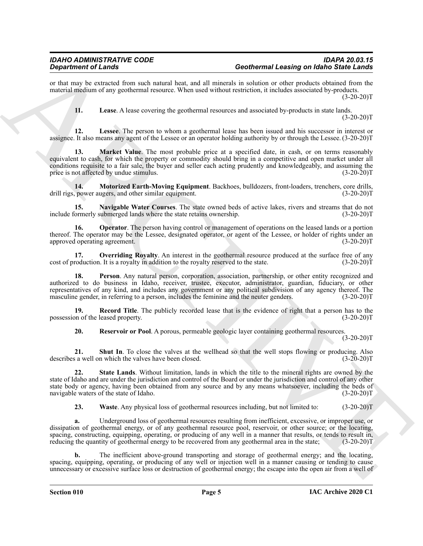or that may be extracted from such natural heat, and all minerals in solution or other products obtained from the material medium of any geothermal resource. When used without restriction, it includes associated by-products.  $(3-20-20)T$ 

<span id="page-4-2"></span><span id="page-4-1"></span><span id="page-4-0"></span>**11. Lease**. A lease covering the geothermal resources and associated by-products in state lands.

 $(3-20-20)T$ 

**12. Lessee**. The person to whom a geothermal lease has been issued and his successor in interest or assignee. It also means any agent of the Lessee or an operator holding authority by or through the Lessee. (3-20-20)T

Given for Linear Contents of the material line, and all methods are contented loss of the Contents of the Contents of the Contents of the Contents of the Contents of the Contents of the Contents of the Contents of the Con **13. Market Value**. The most probable price at a specified date, in cash, or on terms reasonably equivalent to cash, for which the property or commodity should bring in a competitive and open market under all conditions requisite to a fair sale, the buyer and seller each acting prudently and knowledgeably, and assuming the price is not affected by undue stimulus. (3-20-20)T

<span id="page-4-3"></span>**14. Motorized Earth-Moving Equipment**. Backhoes, bulldozers, front-loaders, trenchers, core drills, power augers, and other similar equipment. drill rigs, power augers, and other similar equipment.

<span id="page-4-4"></span>**15. Navigable Water Courses**. The state owned beds of active lakes, rivers and streams that do not include formerly submerged lands where the state retains ownership.

<span id="page-4-5"></span>**16. Operator**. The person having control or management of operations on the leased lands or a portion thereof. The operator may be the Lessee, designated operator, or agent of the Lessee, or holder of rights under an approved operating agreement. (3-20-20) approved operating agreement.

<span id="page-4-6"></span>**17. Overriding Royalty**. An interest in the geothermal resource produced at the surface free of any roduction. It is a royalty in addition to the royalty reserved to the state.  $(3-20-20)$ cost of production. It is a royalty in addition to the royalty reserved to the state.

<span id="page-4-7"></span>**18. Person**. Any natural person, corporation, association, partnership, or other entity recognized and authorized to do business in Idaho, receiver, trustee, executor, administrator, guardian, fiduciary, or other representatives of any kind, and includes any government or any political subdivision of any agency thereof. The masculine gender, in referring to a person, includes the feminine and the neuter genders. (3-20-20) masculine gender, in referring to a person, includes the feminine and the neuter genders.

**19. Record Title**. The publicly recorded lease that is the evidence of right that a person has to the on of the leased property. (3-20-20)<sup>T</sup> possession of the leased property.

<span id="page-4-11"></span><span id="page-4-10"></span><span id="page-4-9"></span><span id="page-4-8"></span>**20. Reservoir or Pool**. A porous, permeable geologic layer containing geothermal resources.

 $(3-20-20)T$ 

**21. Shut In**. To close the valves at the wellhead so that the well stops flowing or producing. Also s a well on which the valves have been closed. (3-20-20) describes a well on which the valves have been closed.

**22. State Lands**. Without limitation, lands in which the title to the mineral rights are owned by the state of Idaho and are under the jurisdiction and control of the Board or under the jurisdiction and control of any other state body or agency, having been obtained from any source and by any means whatsoever, including the beds of navigable waters of the state of Idaho. (3-20-20) navigable waters of the state of Idaho.

<span id="page-4-12"></span>**23.** Waste. Any physical loss of geothermal resources including, but not limited to: (3-20-20)T

**a.** Underground loss of geothermal resources resulting from inefficient, excessive, or improper use, or dissipation of geothermal energy, or of any geothermal resource pool, reservoir, or other source; or the locating, spacing, constructing, equipping, operating, or producing of any well in a manner that results, or tends to result in, reducing the quantity of geothermal energy to be recovered from any geothermal area in the state; (3-20-20)T

**b.** The inefficient above-ground transporting and storage of geothermal energy; and the locating, spacing, equipping, operating, or producing of any well or injection well in a manner causing or tending to cause unnecessary or excessive surface loss or destruction of geothermal energy; the escape into the open air from a well of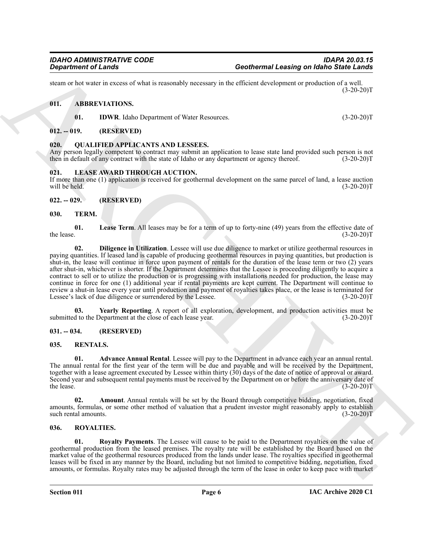steam or hot water in excess of what is reasonably necessary in the efficient development or production of a well.  $(3-20-20)T$ 

### <span id="page-5-0"></span>**011. ABBREVIATIONS.**

<span id="page-5-12"></span><span id="page-5-10"></span><span id="page-5-9"></span>**01. IDWR**. Idaho Department of Water Resources. (3-20-20)T

# <span id="page-5-1"></span>**012. -- 019. (RESERVED)**

### <span id="page-5-2"></span>**020. QUALIFIED APPLICANTS AND LESSEES.**

Any person legally competent to contract may submit an application to lease state land provided such person is not then in default of any contract with the state of Idaho or any department or agency thereof. (3-20-20)T then in default of any contract with the state of Idaho or any department or agency thereof.

### <span id="page-5-11"></span><span id="page-5-3"></span>**021. LEASE AWARD THROUGH AUCTION.**

If more than one (1) application is received for geothermal development on the same parcel of land, a lease auction will be held. (3-20-20) will be held.  $(3-20-20)T$ 

# <span id="page-5-4"></span>**022. -- 029. (RESERVED)**

# <span id="page-5-18"></span><span id="page-5-5"></span>**030. TERM.**

<span id="page-5-20"></span><span id="page-5-19"></span>**01.** Lease Term. All leases may be for a term of up to forty-nine (49) years from the effective date of the lease. (3-20-20)T the lease.  $(3-20-20)T$ 

ARCHIVE **02. Diligence in Utilization**. Lessee will use due diligence to market or utilize geothermal resources in paying quantities. If leased land is capable of producing geothermal resources in paying quantities, but production is shut-in, the lease will continue in force upon payment of rentals for the duration of the lease term or two (2) years after shut-in, whichever is shorter. If the Department determines that the Lessee is proceeding diligently to acquire a contract to sell or to utilize the production or is progressing with installations needed for production, the lease may continue in force for one (1) additional year if rental payments are kept current. The Department will continue to review a shut-in lease every year until production and payment of royalties takes place, or the lease is terminated for Lessee's lack of due diligence or surrendered by the Lessee. (3-20-20)T

<span id="page-5-21"></span>**03.** Yearly Reporting. A report of all exploration, development, and production activities must be d to the Department at the close of each lease year.  $(3-20-20)$ submitted to the Department at the close of each lease year.

# <span id="page-5-6"></span>**031. -- 034. (RESERVED)**

# <span id="page-5-13"></span><span id="page-5-7"></span>**035. RENTALS.**

<span id="page-5-14"></span>**01. Advance Annual Rental**. Lessee will pay to the Department in advance each year an annual rental. The annual rental for the first year of the term will be due and payable and will be received by the Department, together with a lease agreement executed by Lessee within thirty  $(30)$  days of the date of notice of approval or award. Second year and subsequent rental payments must be received by the Department on or before the anniversary date of the lease. (3-20-20)T the lease.  $(3-20-20)T$ 

<span id="page-5-15"></span>**02. Amount**. Annual rentals will be set by the Board through competitive bidding, negotiation, fixed amounts, formulas, or some other method of valuation that a prudent investor might reasonably apply to establish such rental amounts. (3-20-20)T

### <span id="page-5-16"></span><span id="page-5-8"></span>**036. ROYALTIES.**

<span id="page-5-17"></span>**01. Royalty Payments**. The Lessee will cause to be paid to the Department royalties on the value of geothermal production from the leased premises. The royalty rate will be established by the Board based on the market value of the geothermal resources produced from the lands under lease. The royalties specified in geothermal leases will be fixed in any manner by the Board, including but not limited to competitive bidding, negotiation, fixed amounts, or formulas. Royalty rates may be adjusted through the term of the lease in order to keep pace with market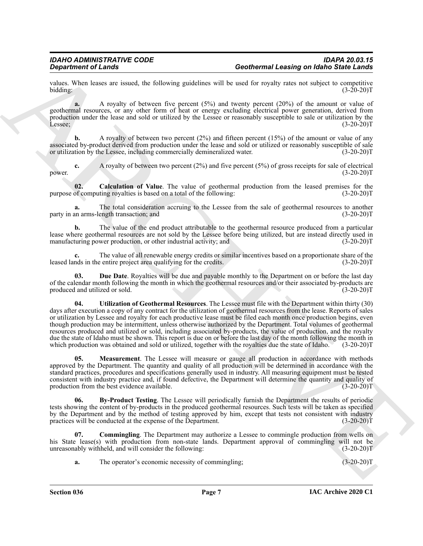values. When leases are issued, the following guidelines will be used for royalty rates not subject to competitive bidding:  $(3-20-20)T$ 

**a.** A royalty of between five percent (5%) and twenty percent (20%) of the amount or value of geothermal resources, or any other form of heat or energy excluding electrical power generation, derived from production under the lease and sold or utilized by the Lessee or reasonably susceptible to sale or utilization by the Lessee;<br>(3-20-20) Lessee; (3-20-20)T

**b.** A royalty of between two percent (2%) and fifteen percent (15%) of the amount or value of any associated by-product derived from production under the lease and sold or utilized or reasonably susceptible of sale or utilization by the Lessee, including commercially demineralized water. (3-20-20)T

**c.** A royalty of between two percent (2%) and five percent (5%) of gross receipts for sale of electrical (3-20-20) power. (3-20-20)T

<span id="page-6-1"></span>**02.** Calculation of Value. The value of geothermal production from the leased premises for the of computing royalties is based on a total of the following:  $(3-20-20)$ purpose of computing royalties is based on a total of the following:

**a.** The total consideration accruing to the Lessee from the sale of geothermal resources to another an arms-length transaction: and (3-20-20) party in an arms-length transaction; and

**b.** The value of the end product attributable to the geothermal resource produced from a particular lease where geothermal resources are not sold by the Lessee before being utilized, but are instead directly used in manufacturing power production, or other industrial activity; and (3-20-20) manufacturing power production, or other industrial activity; and

**c.** The value of all renewable energy credits or similar incentives based on a proportionate share of the nds in the entire project area qualifying for the credits. (3-20-20) leased lands in the entire project area qualifying for the credits.

<span id="page-6-5"></span><span id="page-6-3"></span>**03. Due Date**. Royalties will be due and payable monthly to the Department on or before the last day of the calendar month following the month in which the geothermal resources and/or their associated by-products are produced and utilized or sold.  $(3-20-20)$ produced and utilized or sold.

Geodenro of Lenda <br>
Construction of Lenda <br>
Spin Construction of Lenda <br>
Spin Construction of Lenda <br>
Spin Construction of Lenda <br>
Spin Construction of Lenda <br>
Spin Construction of Lenda <br>
Spin Construction of Lenda <br>
Spi **04. Utilization of Geothermal Resources**. The Lessee must file with the Department within thirty (30) days after execution a copy of any contract for the utilization of geothermal resources from the lease. Reports of sales or utilization by Lessee and royalty for each productive lease must be filed each month once production begins, even though production may be intermittent, unless otherwise authorized by the Department. Total volumes of geothermal resources produced and utilized or sold, including associated by-products, the value of production, and the royalty due the state of Idaho must be shown. This report is due on or before the last day of the month following the month in which production was obtained and sold or utilized, together with the royalties due the state of Idaho. (3-20-20)T

<span id="page-6-4"></span>**05. Measurement**. The Lessee will measure or gauge all production in accordance with methods approved by the Department. The quantity and quality of all production will be determined in accordance with the standard practices, procedures and specifications generally used in industry. All measuring equipment must be tested consistent with industry practice and, if found defective, the Department will determine the quantity and quality of production from the best evidence available.

<span id="page-6-0"></span>**06. By-Product Testing**. The Lessee will periodically furnish the Department the results of periodic tests showing the content of by-products in the produced geothermal resources. Such tests will be taken as specified by the Department and by the method of testing approved by him, except that tests not consistent with industry practices will be conducted at the expense of the Department. (3-20-20) practices will be conducted at the expense of the Department.

**Commingling**. The Department may authorize a Lessee to commingle production from wells on his State lease(s) with production from non-state lands. Department approval of commingling will not be unreasonably withheld, and will consider the following: (3-20-20)T

<span id="page-6-2"></span>**a.** The operator's economic necessity of commingling; (3-20-20)T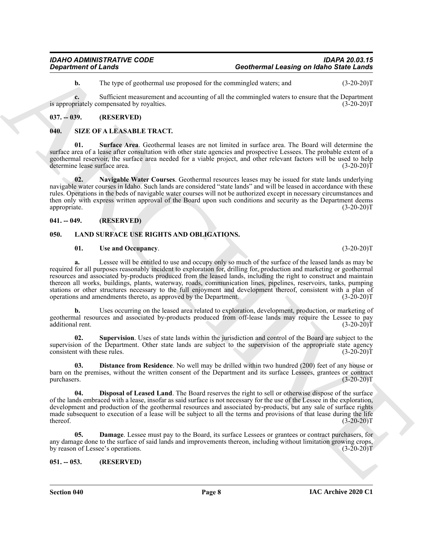**b.** The type of geothermal use proposed for the commingled waters; and  $(3-20-20)T$ 

**c.** Sufficient measurement and accounting of all the commingled waters to ensure that the Department oriately compensated by rovalties. (3-20-20) is appropriately compensated by royalties.

# <span id="page-7-0"></span>**037. -- 039. (RESERVED)**

# <span id="page-7-11"></span><span id="page-7-1"></span>**040. SIZE OF A LEASABLE TRACT.**

<span id="page-7-13"></span>**01. Surface Area**. Geothermal leases are not limited in surface area. The Board will determine the surface area of a lease after consultation with other state agencies and prospective Lessees. The probable extent of a geothermal reservoir, the surface area needed for a viable project, and other relevant factors will be used to help<br>determine lease surface area. (3-20-20) determine lease surface area.

<span id="page-7-12"></span>**02. Navigable Water Courses**. Geothermal resources leases may be issued for state lands underlying navigable water courses in Idaho. Such lands are considered "state lands" and will be leased in accordance with these rules. Operations in the beds of navigable water courses will not be authorized except in necessary circumstances and then only with express written approval of the Board upon such conditions and security as the Department deems appropriate. (3-20-20)T

# <span id="page-7-2"></span>**041. -- 049. (RESERVED)**

# <span id="page-7-3"></span>**050. LAND SURFACE USE RIGHTS AND OBLIGATIONS.**

### <span id="page-7-10"></span><span id="page-7-5"></span>**01. Use and Occupancy**. (3-20-20)T

General constraints of Candeline<br>
The report of the convention of constraints on the space of the convention of the system of the system of the system of the system of the system of the system of the system of the system **a.** Lessee will be entitled to use and occupy only so much of the surface of the leased lands as may be required for all purposes reasonably incident to exploration for, drilling for, production and marketing or geothermal resources and associated by-products produced from the leased lands, including the right to construct and maintain thereon all works, buildings, plants, waterway, roads, communication lines, pipelines, reservoirs, tanks, pumping stations or other structures necessary to the full enjoyment and development thereof, consistent with a plan of operations and amendments thereto, as approved by the Department. (3-20-20)T

**b.** Uses occurring on the leased area related to exploration, development, production, or marketing of geothermal resources and associated by-products produced from off-lease lands may require the Lessee to pay additional rent. (3-20-20)T additional rent.

<span id="page-7-9"></span>**02. Supervision**. Uses of state lands within the jurisdiction and control of the Board are subject to the supervision of the Department. Other state lands are subject to the supervision of the appropriate state agency<br>consistent with these rules. (3-20-20)T consistent with these rules.

<span id="page-7-8"></span>**03. Distance from Residence**. No well may be drilled within two hundred (200) feet of any house or barn on the premises, without the written consent of the Department and its surface Lessees, grantees or contract purchasers. (3-20-20)T purchasers. (3-20-20)T

<span id="page-7-7"></span>**04. Disposal of Leased Land**. The Board reserves the right to sell or otherwise dispose of the surface of the lands embraced with a lease, insofar as said surface is not necessary for the use of the Lessee in the exploration, development and production of the geothermal resources and associated by-products, but any sale of surface rights made subsequent to execution of a lease will be subject to all the terms and provisions of that lease during the life thereof. (3-20-20) thereof.  $(3-20-20)T$ 

<span id="page-7-6"></span>**05. Damage**. Lessee must pay to the Board, its surface Lessees or grantees or contract purchasers, for any damage done to the surface of said lands and improvements thereon, including without limitation growing crops, by reason of Lessee's operations. (3-20-20) by reason of Lessee's operations.

<span id="page-7-4"></span>**051. -- 053. (RESERVED)**

**Section 040 Page 8**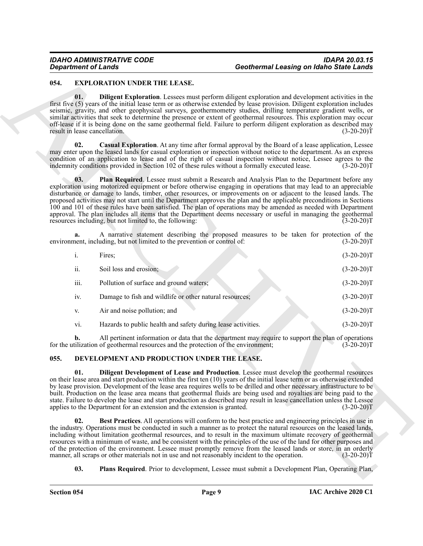# <span id="page-8-9"></span><span id="page-8-8"></span><span id="page-8-7"></span><span id="page-8-6"></span><span id="page-8-0"></span>**054. EXPLORATION UNDER THE LEASE.**

| 054.<br>01.                   | <b>EXPLORATION UNDER THE LEASE.</b><br>Diligent Exploration. Lessees must perform diligent exploration and development activities in the                                                                                                                                                                                                                                                                                                                                                                                                                                                                                                                                                                                                                     |                                                                                                                           |              |
|-------------------------------|--------------------------------------------------------------------------------------------------------------------------------------------------------------------------------------------------------------------------------------------------------------------------------------------------------------------------------------------------------------------------------------------------------------------------------------------------------------------------------------------------------------------------------------------------------------------------------------------------------------------------------------------------------------------------------------------------------------------------------------------------------------|---------------------------------------------------------------------------------------------------------------------------|--------------|
|                               |                                                                                                                                                                                                                                                                                                                                                                                                                                                                                                                                                                                                                                                                                                                                                              |                                                                                                                           |              |
| result in lease cancellation. | seismic, gravity, and other geophysical surveys, geothermometry studies, drilling temperature gradient wells, or<br>similar activities that seek to determine the presence or extent of geothermal resources. This exploration may occur<br>off-lease if it is being done on the same geothermal field. Failure to perform diligent exploration as described may                                                                                                                                                                                                                                                                                                                                                                                             | first five (5) years of the initial lease term or as otherwise extended by lease provision. Diligent exploration includes | $(3-20-20)T$ |
| 02.                           | Casual Exploration. At any time after formal approval by the Board of a lease application, Lessee<br>may enter upon the leased lands for casual exploration or inspection without notice to the department. As an express<br>condition of an application to lease and of the right of casual inspection without notice, Lessee agrees to the<br>indemnity conditions provided in Section 102 of these rules without a formally executed lease.                                                                                                                                                                                                                                                                                                               |                                                                                                                           | $(3-20-20)T$ |
| 03.                           | Plan Required. Lessee must submit a Research and Analysis Plan to the Department before any<br>exploration using motorized equipment or before otherwise engaging in operations that may lead to an appreciable<br>disturbance or damage to lands, timber, other resources, or improvements on or adjacent to the leased lands. The<br>proposed activities may not start until the Department approves the plan and the applicable preconditions in Sections<br>100 and 101 of these rules have been satisfied. The plan of operations may be amended as needed with Department<br>approval. The plan includes all items that the Department deems necessary or useful in managing the geothermal<br>resources including, but not limited to, the following: |                                                                                                                           | $(3-20-20)T$ |
| a.                            | A narrative statement describing the proposed measures to be taken for protection of the<br>environment, including, but not limited to the prevention or control of:                                                                                                                                                                                                                                                                                                                                                                                                                                                                                                                                                                                         |                                                                                                                           | $(3-20-20)T$ |
| i.                            | Fires;                                                                                                                                                                                                                                                                                                                                                                                                                                                                                                                                                                                                                                                                                                                                                       |                                                                                                                           | $(3-20-20)T$ |
| ii.                           | Soil loss and erosion;                                                                                                                                                                                                                                                                                                                                                                                                                                                                                                                                                                                                                                                                                                                                       |                                                                                                                           | $(3-20-20)T$ |
| iii.                          | Pollution of surface and ground waters;                                                                                                                                                                                                                                                                                                                                                                                                                                                                                                                                                                                                                                                                                                                      |                                                                                                                           | $(3-20-20)T$ |
| iv.                           | Damage to fish and wildlife or other natural resources;                                                                                                                                                                                                                                                                                                                                                                                                                                                                                                                                                                                                                                                                                                      |                                                                                                                           | $(3-20-20)T$ |
| V.                            | Air and noise pollution; and                                                                                                                                                                                                                                                                                                                                                                                                                                                                                                                                                                                                                                                                                                                                 |                                                                                                                           | $(3-20-20)T$ |
| vi.                           | Hazards to public health and safety during lease activities.                                                                                                                                                                                                                                                                                                                                                                                                                                                                                                                                                                                                                                                                                                 |                                                                                                                           | $(3-20-20)T$ |
| b.                            | All pertinent information or data that the department may require to support the plan of operations<br>for the utilization of geothermal resources and the protection of the environment;                                                                                                                                                                                                                                                                                                                                                                                                                                                                                                                                                                    |                                                                                                                           | $(3-20-20)T$ |
| 055.                          | DEVELOPMENT AND PRODUCTION UNDER THE LEASE.                                                                                                                                                                                                                                                                                                                                                                                                                                                                                                                                                                                                                                                                                                                  |                                                                                                                           |              |
| 01.                           | Diligent Development of Lease and Production. Lessee must develop the geothermal resources<br>on their lease area and start production within the first ten (10) years of the initial lease term or as otherwise extended<br>by lease provision. Development of the lease area requires wells to be drilled and other necessary infrastructure to be<br>built. Production on the lease area means that geothermal fluids are being used and royalties are being paid to the<br>state. Failure to develop the lease and start production as described may result in lease cancellation unless the Lessee<br>applies to the Department for an extension and the extension is granted.                                                                          |                                                                                                                           | $(3-20-20)T$ |
| 02.                           | Best Practices. All operations will conform to the best practice and engineering principles in use in<br>the industry. Operations must be conducted in such a manner as to protect the natural resources on the leased lands,<br>including without limitation geothermal resources, and to result in the maximum ultimate recovery of geothermal<br>resources with a minimum of waste, and be consistent with the principles of the use of the land for other purposes and<br>of the protection of the environment. Lessee must promptly remove from the leased lands or store, in an orderly                                                                                                                                                                | manner, all scraps or other materials not in use and not reasonably incident to the operation.                            | $(3-20-20)T$ |

### <span id="page-8-5"></span><span id="page-8-4"></span><span id="page-8-3"></span><span id="page-8-2"></span><span id="page-8-1"></span>**055. DEVELOPMENT AND PRODUCTION UNDER THE LEASE.**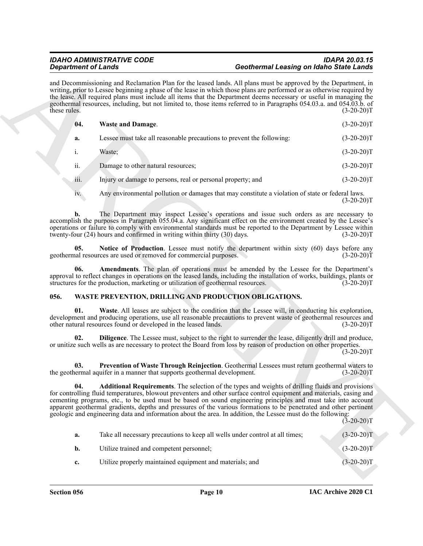<span id="page-9-3"></span>

| <b>Department of Lands</b> |                                                                                  | <b>Geothermal Leasing on Idaho State Lands</b>                                                                                                                                                                                                                                                                                                                                                                                                                                                                                                                                           |              |
|----------------------------|----------------------------------------------------------------------------------|------------------------------------------------------------------------------------------------------------------------------------------------------------------------------------------------------------------------------------------------------------------------------------------------------------------------------------------------------------------------------------------------------------------------------------------------------------------------------------------------------------------------------------------------------------------------------------------|--------------|
| these rules.               |                                                                                  | and Decommissioning and Reclamation Plan for the leased lands. All plans must be approved by the Department, in<br>writing, prior to Lessee beginning a phase of the lease in which those plans are performed or as otherwise required by<br>the lease. All required plans must include all items that the Department deems necessary or useful in managing the<br>geothermal resources, including, but not limited to, those items referred to in Paragraphs 054.03.a. and 054.03.b. of                                                                                                 | $(3-20-20)T$ |
| 04.                        | <b>Waste and Damage.</b>                                                         |                                                                                                                                                                                                                                                                                                                                                                                                                                                                                                                                                                                          | $(3-20-20)T$ |
| a.                         |                                                                                  | Lessee must take all reasonable precautions to prevent the following:                                                                                                                                                                                                                                                                                                                                                                                                                                                                                                                    | $(3-20-20)T$ |
| i.                         | Waste;                                                                           |                                                                                                                                                                                                                                                                                                                                                                                                                                                                                                                                                                                          | $(3-20-20)T$ |
| ii.                        | Damage to other natural resources;                                               |                                                                                                                                                                                                                                                                                                                                                                                                                                                                                                                                                                                          | $(3-20-20)T$ |
| 111.                       | Injury or damage to persons, real or personal property; and                      |                                                                                                                                                                                                                                                                                                                                                                                                                                                                                                                                                                                          | $(3-20-20)T$ |
| iv.                        |                                                                                  | Any environmental pollution or damages that may constitute a violation of state or federal laws.                                                                                                                                                                                                                                                                                                                                                                                                                                                                                         | $(3-20-20)T$ |
| b.                         | twenty-four (24) hours and confirmed in writing within thirty (30) days.         | The Department may inspect Lessee's operations and issue such orders as are necessary to<br>accomplish the purposes in Paragraph 055.04.a. Any significant effect on the environment created by the Lessee's<br>operations or failure to comply with environmental standards must be reported to the Department by Lessee within                                                                                                                                                                                                                                                         | $(3-20-20)T$ |
| 05.                        | geothermal resources are used or removed for commercial purposes.                | Notice of Production. Lessee must notify the department within sixty (60) days before any                                                                                                                                                                                                                                                                                                                                                                                                                                                                                                | $(3-20-20)T$ |
| 06.                        | structures for the production, marketing or utilization of geothermal resources. | <b>Amendments</b> . The plan of operations must be amended by the Lessee for the Department's<br>approval to reflect changes in operations on the leased lands, including the installation of works, buildings, plants or                                                                                                                                                                                                                                                                                                                                                                | $(3-20-20)T$ |
| 056.                       |                                                                                  | WASTE PREVENTION, DRILLING AND PRODUCTION OBLIGATIONS.                                                                                                                                                                                                                                                                                                                                                                                                                                                                                                                                   |              |
| 01.                        | other natural resources found or developed in the leased lands.                  | Waste. All leases are subject to the condition that the Lessee will, in conducting his exploration,<br>development and producing operations, use all reasonable precautions to prevent waste of geothermal resources and                                                                                                                                                                                                                                                                                                                                                                 | $(3-20-20)T$ |
| 02.                        |                                                                                  | Diligence. The Lessee must, subject to the right to surrender the lease, diligently drill and produce,<br>or unitize such wells as are necessary to protect the Board from loss by reason of production on other properties.                                                                                                                                                                                                                                                                                                                                                             | $(3-20-20)T$ |
| 03.                        | the geothermal aquifer in a manner that supports geothermal development.         | Prevention of Waste Through Reinjection. Geothermal Lessees must return geothermal waters to                                                                                                                                                                                                                                                                                                                                                                                                                                                                                             | $(3-20-20)T$ |
| 04.                        |                                                                                  | <b>Additional Requirements</b> . The selection of the types and weights of drilling fluids and provisions<br>for controlling fluid temperatures, blowout preventers and other surface control equipment and materials, casing and<br>cementing programs, etc., to be used must be based on sound engineering principles and must take into account<br>apparent geothermal gradients, depths and pressures of the various formations to be penetrated and other pertinent<br>geologic and engineering data and information about the area. In addition, the Lessee must do the following: | $(3-20-20)T$ |
| a.                         |                                                                                  | Take all necessary precautions to keep all wells under control at all times;                                                                                                                                                                                                                                                                                                                                                                                                                                                                                                             | $(3-20-20)T$ |
| b.                         | Utilize trained and competent personnel;                                         |                                                                                                                                                                                                                                                                                                                                                                                                                                                                                                                                                                                          | $(3-20-20)T$ |
|                            |                                                                                  |                                                                                                                                                                                                                                                                                                                                                                                                                                                                                                                                                                                          |              |

# <span id="page-9-8"></span><span id="page-9-7"></span><span id="page-9-6"></span><span id="page-9-5"></span><span id="page-9-4"></span><span id="page-9-2"></span><span id="page-9-1"></span><span id="page-9-0"></span>**056. WASTE PREVENTION, DRILLING AND PRODUCTION OBLIGATIONS.**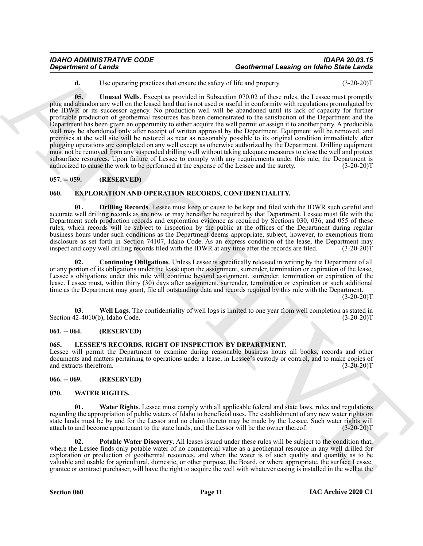<span id="page-10-11"></span>**d.** Use operating practices that ensure the safety of life and property. (3-20-20)T

Geolohemel of Lands<br>
User contains precises that users the start as constraints the start of property. The start of the start of the start of the start of the start of the start of the start of the start of the start of t **05. Unused Wells**. Except as provided in Subsection 070.02 of these rules, the Lessee must promptly plug and abandon any well on the leased land that is not used or useful in conformity with regulations promulgated by the IDWR or its successor agency. No production well will be abandoned until its lack of capacity for further profitable production of geothermal resources has been demonstrated to the satisfaction of the Department and the Department has been given an opportunity to either acquire the well permit or assign it to another party. A producible well may be abandoned only after receipt of written approval by the Department. Equipment will be removed, and premises at the well site will be restored as near as reasonably possible to its original condition immediately after plugging operations are completed on any well except as otherwise authorized by the Department. Drilling equipment must not be removed from any suspended drilling well without taking adequate measures to close the well and protect subsurface resources. Upon failure of Lessee to comply with any requirements under this rule, the Department is authorized to cause the work to be performed at the expense of the Lessee and the surety. (3-20-20)T authorized to cause the work to be performed at the expense of the Lessee and the surety.

# <span id="page-10-0"></span>**057. -- 059. (RESERVED)**

# <span id="page-10-6"></span><span id="page-10-1"></span>**060. EXPLORATION AND OPERATION RECORDS, CONFIDENTIALITY.**

<span id="page-10-8"></span>**01. Drilling Records**. Lessee must keep or cause to be kept and filed with the IDWR such careful and accurate well drilling records as are now or may hereafter be required by that Department. Lessee must file with the Department such production records and exploration evidence as required by Sections 030, 036, and 055 of these rules, which records will be subject to inspection by the public at the offices of the Department during regular business hours under such conditions as the Department deems appropriate, subject, however, to exemptions from disclosure as set forth in Section 74107, Idaho Code. As an express condition of the lease, the Department may inspect and copy well drilling records filed with the IDWR at any time after the records are filed. (3-20-20)T

<span id="page-10-7"></span>**02. Continuing Obligations**. Unless Lessee is specifically released in writing by the Department of all or any portion of its obligations under the lease upon the assignment, surrender, termination or expiration of the lease, Lessee's obligations under this rule will continue beyond assignment, surrender, termination or expiration of the lease. Lessee must, within thirty (30) days after assignment, surrender, termination or expiration or such additional time as the Department may grant, file all outstanding data and records required by this rule with the Department.

 $(3-20-20)T$ 

<span id="page-10-9"></span>**03.** Well Logs. The confidentiality of well logs is limited to one year from well completion as stated in  $(3-20-20)T$ Section 42-4010(b), Idaho Code.

#### <span id="page-10-2"></span>**061. -- 064. (RESERVED)**

#### <span id="page-10-10"></span><span id="page-10-3"></span>**065. LESSEE'S RECORDS, RIGHT OF INSPECTION BY DEPARTMENT.**

Lessee will permit the Department to examine during reasonable business hours all books, records and other documents and matters pertaining to operations under a lease, in Lessee's custody or control, and to make copies of and extracts therefrom. (3-20-20)T and extracts therefrom.

<span id="page-10-4"></span>**066. -- 069. (RESERVED)**

#### <span id="page-10-12"></span><span id="page-10-5"></span>**070. WATER RIGHTS.**

**01. Water Rights**. Lessee must comply with all applicable federal and state laws, rules and regulations regarding the appropriation of public waters of Idaho to beneficial uses. The establishment of any new water rights on state lands must be by and for the Lessor and no claim thereto may be made by the Lessee. Such water rights will attach to and become appurtenant to the state lands, and the Lessor will be the owner thereof. (3-20-20)T attach to and become appurtenant to the state lands, and the Lessor will be the owner thereof.

<span id="page-10-13"></span>**02. Potable Water Discovery**. All leases issued under these rules will be subject to the condition that, where the Lessee finds only potable water of no commercial value as a geothermal resource in any well drilled for exploration or production of geothermal resources, and when the water is of such quality and quantity as to be valuable and usable for agricultural, domestic, or other purpose, the Board, or where appropriate, the surface Lessee, grantee or contract purchaser, will have the right to acquire the well with whatever casing is installed in the well at the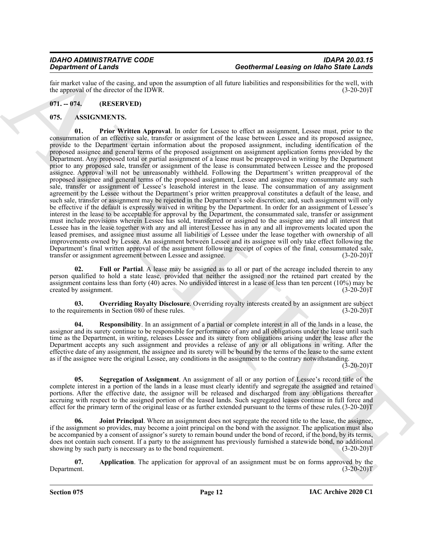fair market value of the casing, and upon the assumption of all future liabilities and responsibilities for the well, with the approval of the director of the IDWR.

# <span id="page-11-0"></span>**071. -- 074. (RESERVED)**

# <span id="page-11-7"></span><span id="page-11-2"></span><span id="page-11-1"></span>**075. ASSIGNMENTS.**

Geothermal Leasing on Main Since The Contempt is contempt to the strong on Main Since The Results of the Since The Results of the Since The Results of the Since The Since The Since The Since The Since The Since The Since **01. Prior Written Approval**. In order for Lessee to effect an assignment, Lessee must, prior to the consummation of an effective sale, transfer or assignment of the lease between Lessee and its proposed assignee, provide to the Department certain information about the proposed assignment, including identification of the proposed assignee and general terms of the proposed assignment on assignment application forms provided by the Department. Any proposed total or partial assignment of a lease must be preapproved in writing by the Department prior to any proposed sale, transfer or assignment of the lease is consummated between Lessee and the proposed assignee. Approval will not be unreasonably withheld. Following the Department's written preapproval of the proposed assignee and general terms of the proposed assignment, Lessee and assignee may consummate any such sale, transfer or assignment of Lessee's leasehold interest in the lease. The consummation of any assignment agreement by the Lessee without the Department's prior written preapproval constitutes a default of the lease, and such sale, transfer or assignment may be rejected in the Department's sole discretion; and, such assignment will only be effective if the default is expressly waived in writing by the Department. In order for an assignment of Lessee's interest in the lease to be acceptable for approval by the Department, the consummated sale, transfer or assignment must include provisions wherein Lessee has sold, transferred or assigned to the assignee any and all interest that Lessee has in the lease together with any and all interest Lessee has in any and all improvements located upon the leased premises, and assignee must assume all liabilities of Lessee under the lease together with ownership of all improvements owned by Lessee. An assignment between Lessee and its assignee will only take effect following the Department's final written approval of the assignment following receipt of copies of the final, consummated sale, transfer or assignment agreement between Lessee and assignee. (3-20-20) transfer or assignment agreement between Lessee and assignee.

<span id="page-11-4"></span>Full or Partial. A lease may be assigned as to all or part of the acreage included therein to any person qualified to hold a state lease, provided that neither the assigned nor the retained part created by the assignment contains less than forty (40) acres. No undivided interest in a lease of less than ten percent  $(10\%)$  may be created by assignment.  $(3-20-20)T$ created by assignment.

<span id="page-11-6"></span>**03. Overriding Royalty Disclosure**. Overriding royalty interests created by an assignment are subject to the requirements in Section 080 of these rules. (3-20-20)T

<span id="page-11-8"></span>**04. Responsibility**. In an assignment of a partial or complete interest in all of the lands in a lease, the assignor and its surety continue to be responsible for performance of any and all obligations under the lease until such time as the Department, in writing, releases Lessee and its surety from obligations arising under the lease after the Department accepts any such assignment and provides a release of any or all obligations in writing. After the effective date of any assignment, the assignee and its surety will be bound by the terms of the lease to the same extent as if the assignee were the original Lessee, any conditions in the assignment to the contrary notwithstanding.

 $(3-20-20)T$ 

<span id="page-11-9"></span>**05. Segregation of Assignment**. An assignment of all or any portion of Lessee's record title of the complete interest in a portion of the lands in a lease must clearly identify and segregate the assigned and retained portions. After the effective date, the assignor will be released and discharged from any obligations thereafter accruing with respect to the assigned portion of the leased lands. Such segregated leases continue in full force and effect for the primary term of the original lease or as further extended pursuant to the terms of these rules.(3-20-20)T

<span id="page-11-5"></span>**06.** Joint Principal. Where an assignment does not segregate the record title to the lease, the assignee, if the assignment so provides, may become a joint principal on the bond with the assignor. The application must also be accompanied by a consent of assignor's surety to remain bound under the bond of record, if the bond, by its terms, does not contain such consent. If a party to the assignment has previously furnished a statewide bond, no additional showing by such party is necessary as to the bond requirement. (3-20-20) Showing by such party is necessary as to the bond requirement.

<span id="page-11-3"></span>**07.** Application. The application for approval of an assignment must be on forms approved by the Department. (3-20-20)T Department. (3-20-20)T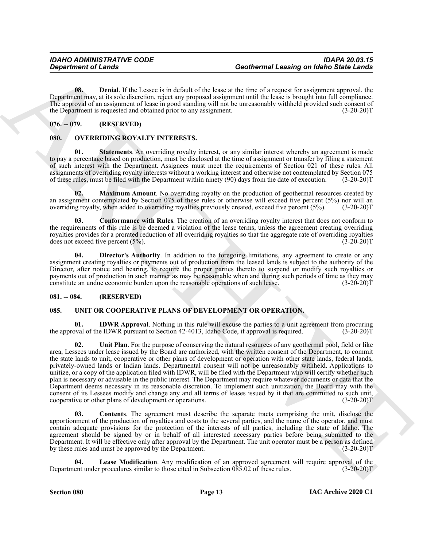<span id="page-12-4"></span>**08. Denial**. If the Lessee is in default of the lease at the time of a request for assignment approval, the Department may, at its sole discretion, reject any proposed assignment until the lease is brought into full compliance. The approval of an assignment of lease in good standing will not be unreasonably withheld provided such consent of the Department is requested and obtained prior to any assignment. (3-20-20)T

# <span id="page-12-0"></span>**076. -- 079. (RESERVED)**

# <span id="page-12-9"></span><span id="page-12-5"></span><span id="page-12-1"></span>**080. OVERRIDING ROYALTY INTERESTS.**

**01.** Statements. An overriding royalty interest, or any similar interest whereby an agreement is made to pay a percentage based on production, must be disclosed at the time of assignment or transfer by filing a statement of such interest with the Department. Assignees must meet the requirements of Section 021 of these rules. All assignments of overriding royalty interests without a working interest and otherwise not contemplated by Section 075 of these rules, must be filed with the Department within ninety (90) days from the date of execution. (3-20-20)T

<span id="page-12-8"></span>**02. Maximum Amount**. No overriding royalty on the production of geothermal resources created by an assignment contemplated by Section 075 of these rules or otherwise will exceed five percent (5%) nor will an overriding royalty, when added to overriding royalties previously created, exceed five percent (5%). (3-20-20)T

<span id="page-12-6"></span>**03. Conformance with Rules**. The creation of an overriding royalty interest that does not conform to the requirements of this rule is be deemed a violation of the lease terms, unless the agreement creating overriding royalties provides for a prorated reduction of all overriding royalties so that the aggregate rate of overriding royalties does not exceed five percent (5%). does not exceed five percent  $(5\%)$ .

<span id="page-12-7"></span>**04. Director's Authority**. In addition to the foregoing limitations, any agreement to create or any assignment creating royalties or payments out of production from the leased lands is subject to the authority of the Director, after notice and hearing, to require the proper parties thereto to suspend or modify such royalties or payments out of production in such manner as may be reasonable when and during such periods of time as they may constitute an undue economic burden upon the reasonable operations of such lease. (3-20-20)T

### <span id="page-12-2"></span>**081. -- 084. (RESERVED)**

# <span id="page-12-10"></span><span id="page-12-3"></span>**085. UNIT OR COOPERATIVE PLANS OF DEVELOPMENT OR OPERATION.**

<span id="page-12-14"></span><span id="page-12-12"></span>**01. IDWR Approval**. Nothing in this rule will excuse the parties to a unit agreement from procuring by al of the IDWR pursuant to Section 42-4013. Idaho Code, if approval is required. (3-20-20) the approval of the IDWR pursuant to Section 42-4013, Idaho Code, if approval is required.

Geolohemus et Landa<br>
United K. The United K. The United K. The United K. The United K. The United K. The United K. The United K. The United K. The United K. The United K. The United K. The United K. The United K. The Unit **02. Unit Plan**. For the purpose of conserving the natural resources of any geothermal pool, field or like area, Lessees under lease issued by the Board are authorized, with the written consent of the Department, to commit the state lands to unit, cooperative or other plans of development or operation with other state lands, federal lands, privately-owned lands or Indian lands. Departmental consent will not be unreasonably withheld. Applications to unitize, or a copy of the application filed with IDWR, will be filed with the Department who will certify whether such plan is necessary or advisable in the public interest. The Department may require whatever documents or data that the Department deems necessary in its reasonable discretion. To implement such unitization, the Board may with the consent of its Lessees modify and change any and all terms of leases issued by it that are committed to such unit, cooperative or other plans of development or operations. (3-20-20)T

<span id="page-12-11"></span>**03. Contents**. The agreement must describe the separate tracts comprising the unit, disclose the apportionment of the production of royalties and costs to the several parties, and the name of the operator, and must contain adequate provisions for the protection of the interests of all parties, including the state of Idaho. The agreement should be signed by or in behalf of all interested necessary parties before being submitted to the Department. It will be effective only after approval by the Department. The unit operator must be a person as defined by these rules and must be approved by the Department. (3-20-20)T

<span id="page-12-13"></span>**Lease Modification**. Any modification of an approved agreement will require approval of the r procedures similar to those cited in Subsection 085.02 of these rules. (3-20-20)T Department under procedures similar to those cited in Subsection 085.02 of these rules.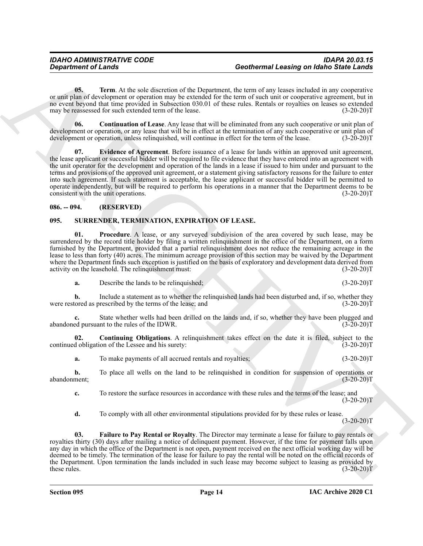<span id="page-13-8"></span>**05. Term**. At the sole discretion of the Department, the term of any leases included in any cooperative or unit plan of development or operation may be extended for the term of such unit or cooperative agreement, but in no event beyond that time provided in Subsection 030.01 of these rules. Rentals or royalties on leases so extended may be reassessed for such extended term of the lease. (3-20-20)T

<span id="page-13-7"></span><span id="page-13-6"></span>**06. Continuation of Lease**. Any lease that will be eliminated from any such cooperative or unit plan of development or operation, or any lease that will be in effect at the termination of any such cooperative or unit plan of development or operation, unless relinquished, will continue in effect for the term of the lease. (3-20-20)T

Geolohemen et d'année a la contentie de la Conference de La Conference de la contentie de la contentie de la contentie de la contentie de la contentie de la contentie de la contentie de la contentie de la contentie de la **07. Evidence of Agreement**. Before issuance of a lease for lands within an approved unit agreement, the lease applicant or successful bidder will be required to file evidence that they have entered into an agreement with the unit operator for the development and operation of the lands in a lease if issued to him under and pursuant to the terms and provisions of the approved unit agreement, or a statement giving satisfactory reasons for the failure to enter into such agreement. If such statement is acceptable, the lease applicant or successful bidder will be permitted to operate independently, but will be required to perform his operations in a manner that the Department deems to be consistent with the unit operations. (3-20-20) consistent with the unit operations.

# <span id="page-13-0"></span>**086. -- 094. (RESERVED)**

# <span id="page-13-2"></span><span id="page-13-1"></span>**095. SURRENDER, TERMINATION, EXPIRATION OF LEASE.**

<span id="page-13-5"></span>**01. Procedure**. A lease, or any surveyed subdivision of the area covered by such lease, may be surrendered by the record title holder by filing a written relinquishment in the office of the Department, on a form furnished by the Department, provided that a partial relinquishment does not reduce the remaining acreage in the lease to less than forty (40) acres. The minimum acreage provision of this section may be waived by the Department where the Department finds such exception is justified on the basis of exploratory and development data derived from activity on the leasehold. The relinguishment must: (3-20-20) activity on the leasehold. The relinquishment must:

**a.** Describe the lands to be relinquished; (3-20-20)T

**b.** Include a statement as to whether the relinquished lands had been disturbed and, if so, whether they tored as prescribed by the terms of the lease; and (3-20-20)<sup>T</sup> were restored as prescribed by the terms of the lease; and

**c.** State whether wells had been drilled on the lands and, if so, whether they have been plugged and ed pursuant to the rules of the IDWR.  $(3-20-20)$ abandoned pursuant to the rules of the IDWR.

**02. Continuing Obligations**. A relinquishment takes effect on the date it is filed, subject to the continued obligation of the Lessee and his surety: (3-20-20)T

<span id="page-13-3"></span>**a.** To make payments of all accrued rentals and royalties; (3-20-20)T

**b.** To place all wells on the land to be relinquished in condition for suspension of operations or ment; (3-20-20) abandonment;

**c.** To restore the surface resources in accordance with these rules and the terms of the lease; and  $(3-20-20)T$ 

<span id="page-13-4"></span>**d.** To comply with all other environmental stipulations provided for by these rules or lease.

 $(3-20-20)T$ 

**03. Failure to Pay Rental or Royalty**. The Director may terminate a lease for failure to pay rentals or royalties thirty (30) days after mailing a notice of delinquent payment. However, if the time for payment falls upon any day in which the office of the Department is not open, payment received on the next official working day will be deemed to be timely. The termination of the lease for failure to pay the rental will be noted on the official records of the Department. Upon termination the lands included in such lease may become subject to leasing as provided by<br>(3-20-20)T these rules.  $(3-20-20)T$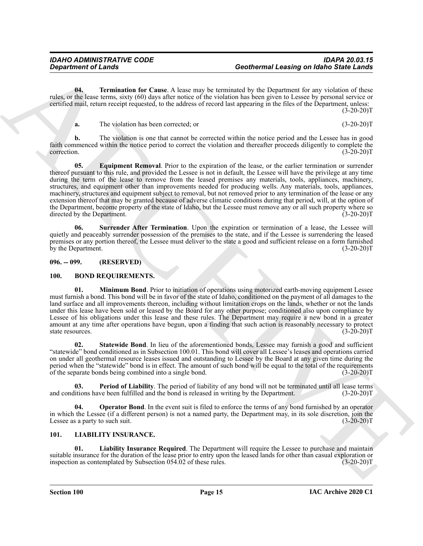**04. Termination for Cause**. A lease may be terminated by the Department for any violation of these rules, or the lease terms, sixty (60) days after notice of the violation has been given to Lessee by personal service or certified mail, return receipt requested, to the address of record last appearing in the files of the Department, unless:  $(3-20-20)T$ 

<span id="page-14-12"></span><span id="page-14-10"></span>**a.** The violation has been corrected; or (3-20-20)T

**b.** The violation is one that cannot be corrected within the notice period and the Lessee has in good faith commenced within the notice period to correct the violation and thereafter proceeds diligently to complete the correction. (3-20-20)T

General consists of Lends<br>
The spin term in the Cause A lengt may be entimated by the numerical state and the spin term in the spin term in the spin term in the spin term in the spin term in the spin term in the spin term **05. Equipment Removal**. Prior to the expiration of the lease, or the earlier termination or surrender thereof pursuant to this rule, and provided the Lessee is not in default, the Lessee will have the privilege at any time during the term of the lease to remove from the leased premises any materials, tools, appliances, machinery, structures, and equipment other than improvements needed for producing wells. Any materials, tools, appliances, machinery, structures and equipment subject to removal, but not removed prior to any termination of the lease or any extension thereof that may be granted because of adverse climatic conditions during that period, will, at the option of the Department, become property of the state of Idaho, but the Lessee must remove any or all such property where so directed by the Department. (3-20-20) directed by the Department.

<span id="page-14-11"></span>**06. Surrender After Termination**. Upon the expiration or termination of a lease, the Lessee will quietly and peaceably surrender possession of the premises to the state, and if the Lessee is surrendering the leased premises or any portion thereof, the Lessee must deliver to the state a good and sufficient release on a form furnished by the Department. (3-20-20)T

<span id="page-14-0"></span>**096. -- 099. (RESERVED)**

#### <span id="page-14-4"></span><span id="page-14-3"></span><span id="page-14-1"></span>**100. BOND REQUIREMENTS.**

**01. Minimum Bond**. Prior to initiation of operations using motorized earth-moving equipment Lessee must furnish a bond. This bond will be in favor of the state of Idaho, conditioned on the payment of all damages to the land surface and all improvements thereon, including without limitation crops on the lands, whether or not the lands under this lease have been sold or leased by the Board for any other purpose; conditioned also upon compliance by Lessee of his obligations under this lease and these rules. The Department may require a new bond in a greater amount at any time after operations have begun, upon a finding that such action is reasonably necessary to protect state resources. (3-20-20) state resources.

<span id="page-14-7"></span>**02. Statewide Bond**. In lieu of the aforementioned bonds, Lessee may furnish a good and sufficient "statewide" bond conditioned as in Subsection 100.01. This bond will cover all Lessee's leases and operations carried on under all geothermal resource leases issued and outstanding to Lessee by the Board at any given time during the period when the "statewide" bond is in effect. The amount of such bond will be equal to the total of the requirements of the separate bonds being combined into a single bond. (3-20-20)T

<span id="page-14-6"></span>**03.** Period of Liability. The period of liability of any bond will not be terminated until all lease terms litions have been fulfilled and the bond is released in writing by the Department. (3-20-20) and conditions have been fulfilled and the bond is released in writing by the Department.

<span id="page-14-5"></span>**Operator Bond**. In the event suit is filed to enforce the terms of any bond furnished by an operator in which the Lessee (if a different person) is not a named party, the Department may, in its sole discretion, join the Lessee as a party to such suit. (3-20-20) Lessee as a party to such suit.

### <span id="page-14-8"></span><span id="page-14-2"></span>**101. LIABILITY INSURANCE.**

<span id="page-14-9"></span>**01. Liability Insurance Required**. The Department will require the Lessee to purchase and maintain suitable insurance for the duration of the lease prior to entry upon the leased lands for other than casual exploration or<br>
(3-20-20)T (3-20-20)T inspection as contemplated by Subsection 054.02 of these rules.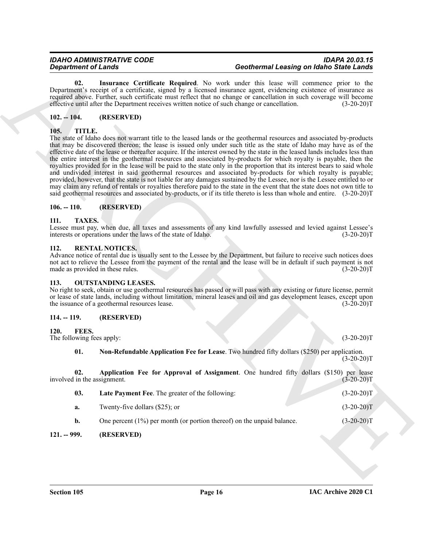<span id="page-15-13"></span>**02. Insurance Certificate Required**. No work under this lease will commence prior to the Department's receipt of a certificate, signed by a licensed insurance agent, evidencing existence of insurance as required above. Further, such certificate must reflect that no change or cancellation in such coverage will become effective until after the Department receives written notice of such change or cancellation. (3-20-20)T

# <span id="page-15-0"></span>**102. -- 104. (RESERVED)**

# <span id="page-15-17"></span><span id="page-15-1"></span>**105. TITLE.**

Generation of Lines Continents. Continents the paired. No was determined Leasing on Mathematic Terms in the continent of the state of the state of the state of the state of the state of the state of the state of the state The state of Idaho does not warrant title to the leased lands or the geothermal resources and associated by-products that may be discovered thereon; the lease is issued only under such title as the state of Idaho may have as of the effective date of the lease or thereafter acquire. If the interest owned by the state in the leased lands includes less than the entire interest in the geothermal resources and associated by-products for which royalty is payable, then the royalties provided for in the lease will be paid to the state only in the proportion that its interest bears to said whole and undivided interest in said geothermal resources and associated by-products for which royalty is payable; provided, however, that the state is not liable for any damages sustained by the Lessee, nor is the Lessee entitled to or may claim any refund of rentals or royalties therefore paid to the state in the event that the state does not own title to said geothermal resources and associated by-products, or if its title thereto is less than whole and entire.  $(3-20-20)$ T

#### <span id="page-15-2"></span>**106. -- 110. (RESERVED)**

#### <span id="page-15-16"></span><span id="page-15-3"></span>**111. TAXES.**

Lessee must pay, when due, all taxes and assessments of any kind lawfully assessed and levied against Lessee's interests or operations under the laws of the state of Idaho. (3-20-20) interests or operations under the laws of the state of Idaho.

#### <span id="page-15-15"></span><span id="page-15-4"></span>**112. RENTAL NOTICES.**

Advance notice of rental due is usually sent to the Lessee by the Department, but failure to receive such notices does not act to relieve the Lessee from the payment of the rental and the lease will be in default if such payment is not made as provided in these rules. (3-20-20)<sup>T</sup> made as provided in these rules.

#### <span id="page-15-14"></span><span id="page-15-5"></span>**113. OUTSTANDING LEASES.**

No right to seek, obtain or use geothermal resources has passed or will pass with any existing or future license, permit or lease of state lands, including without limitation, mineral leases and oil and gas development leases, except upon<br>the issuance of a geothermal resources lease. (3-20-20) the issuance of a geothermal resources lease.

### <span id="page-15-6"></span>**114. -- 119. (RESERVED)**

### <span id="page-15-7"></span>**120. FEES.**

The following fees apply: (3-20-20)T

<span id="page-15-12"></span><span id="page-15-10"></span><span id="page-15-9"></span>**01. Non-Refundable Application Fee for Lease**. Two hundred fifty dollars (\$250) per application.  $(3-20-20)T$ 

**02.** Application Fee for Approval of Assignment. One hundred fifty dollars (\$150) per lease in the assignment. (3-20-20) involved in the assignment.

<span id="page-15-11"></span>

| 03. | <b>Late Payment Fee.</b> The greater of the following:                    | $(3-20-20)T$ |
|-----|---------------------------------------------------------------------------|--------------|
| а.  | Twenty-five dollars (\$25); or                                            | $(3-20-20)T$ |
|     | One percent $(1\%)$ per month (or portion thereof) on the unpaid balance. | $(3-20-20)T$ |

### <span id="page-15-8"></span>**121. -- 999. (RESERVED)**